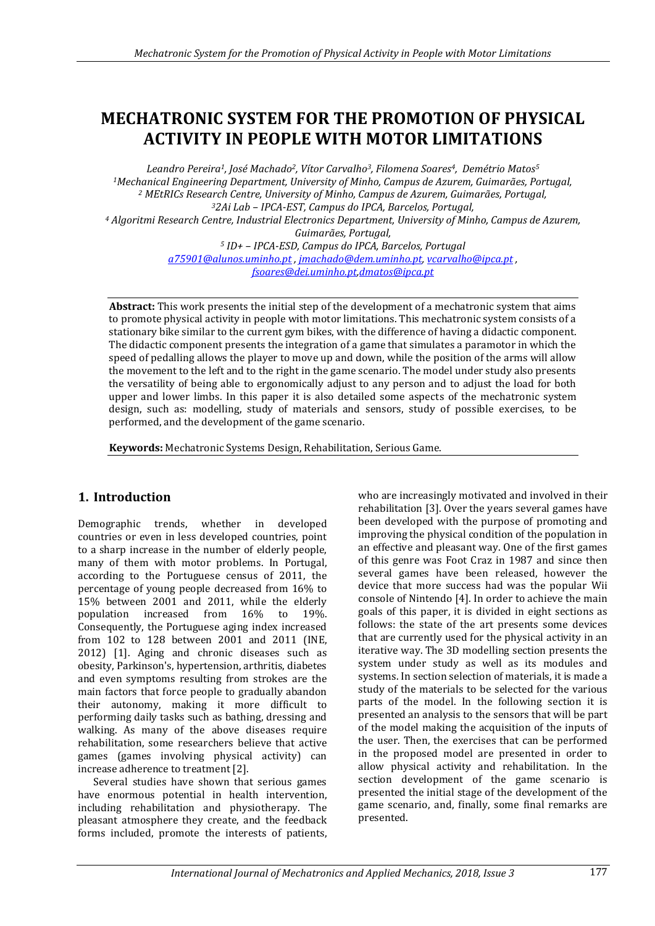# **MECHATRONIC SYSTEM FOR THE PROMOTION OF PHYSICAL ACTIVITY IN PEOPLE WITH MOTOR LIMITATIONS**

*Leandro Pereira1, José Machado2, Vítor Carvalho3, Filomena Soares4, Demétrio Matos<sup>5</sup> Mechanical Engineering Department, University of Minho, Campus de Azurem, Guimarães, Portugal, MEtRICs Research Centre, University of Minho, Campus de Azurem, Guimarães, Portugal, 2Ai Lab – IPCA-EST, Campus do IPCA, Barcelos, Portugal, Algoritmi Research Centre, Industrial Electronics Department, University of Minho, Campus de Azurem, Guimarães, Portugal, ID+ – IPCA-ESD, Campus do IPCA, Barcelos, Portugal [a75901@alunos.uminho.pt](mailto:a75901@alunos.uminho.pt) , [jmachado@dem.uminho.pt,](mailto:jmachado@dem.uminho.pt) [vcarvalho@ipca.pt](mailto:vcarvalho@ipca.pt) ,* 

*[fsoares@dei.uminho.pt,](mailto:fsoares@dei.uminho.pt)[dmatos@ipca.pt](mailto:dmatos@ipca.pt)*

**Abstract:** This work presents the initial step of the development of a mechatronic system that aims to promote physical activity in people with motor limitations. This mechatronic system consists of a stationary bike similar to the current gym bikes, with the difference of having a didactic component. The didactic component presents the integration of a game that simulates a paramotor in which the speed of pedalling allows the player to move up and down, while the position of the arms will allow the movement to the left and to the right in the game scenario. The model under study also presents the versatility of being able to ergonomically adjust to any person and to adjust the load for both upper and lower limbs. In this paper it is also detailed some aspects of the mechatronic system design, such as: modelling, study of materials and sensors, study of possible exercises, to be performed, and the development of the game scenario.

**Keywords:** Mechatronic Systems Design, Rehabilitation, Serious Game.

# **1. Introduction**

Demographic trends, whether in developed countries or even in less developed countries, point to a sharp increase in the number of elderly people, many of them with motor problems. In Portugal, according to the Portuguese census of 2011, the percentage of young people decreased from 16% to 15% between 2001 and 2011, while the elderly population increased from 16% to 19%. Consequently, the Portuguese aging index increased from 102 to 128 between 2001 and 2011 (INE, 2012) [1]. Aging and chronic diseases such as obesity, Parkinson's, hypertension, arthritis, diabetes and even symptoms resulting from strokes are the main factors that force people to gradually abandon their autonomy, making it more difficult to performing daily tasks such as bathing, dressing and walking. As many of the above diseases require rehabilitation, some researchers believe that active games (games involving physical activity) can increase adherence to treatment [2].

Several studies have shown that serious games have enormous potential in health intervention, including rehabilitation and physiotherapy. The pleasant atmosphere they create, and the feedback forms included, promote the interests of patients,

who are increasingly motivated and involved in their rehabilitation [3]. Over the years several games have been developed with the purpose of promoting and improving the physical condition of the population in an effective and pleasant way. One of the first games of this genre was Foot Craz in 1987 and since then several games have been released, however the device that more success had was the popular Wii console of Nintendo [4]. In order to achieve the main goals of this paper, it is divided in eight sections as follows: the state of the art presents some devices that are currently used for the physical activity in an iterative way. The 3D modelling section presents the system under study as well as its modules and systems. In section selection of materials, it is made a study of the materials to be selected for the various parts of the model. In the following section it is presented an analysis to the sensors that will be part of the model making the acquisition of the inputs of the user. Then, the exercises that can be performed in the proposed model are presented in order to allow physical activity and rehabilitation. In the section development of the game scenario is presented the initial stage of the development of the game scenario, and, finally, some final remarks are presented.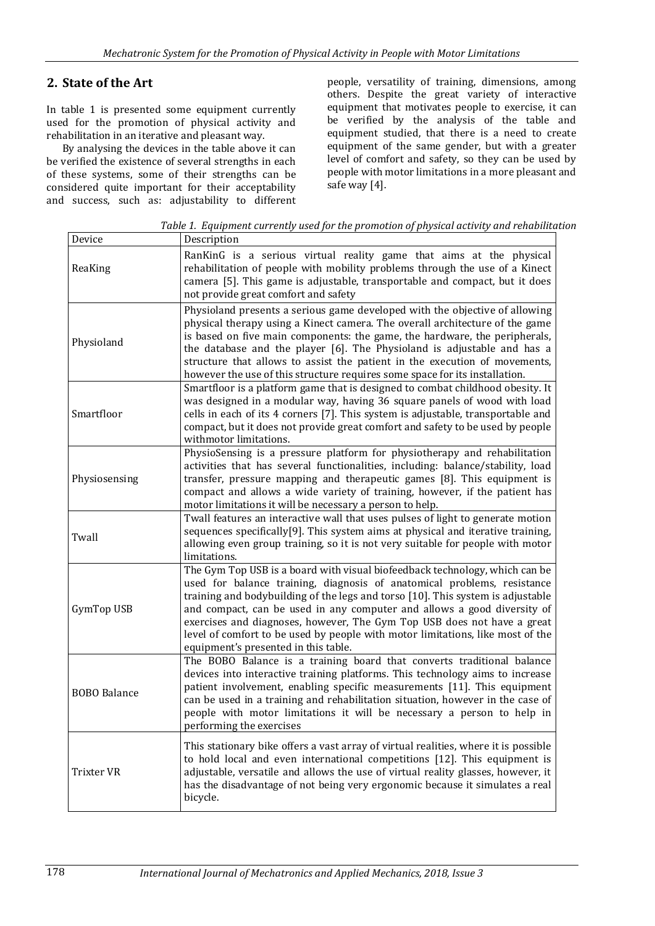# **2. State of the Art**

In table 1 is presented some equipment currently used for the promotion of physical activity and rehabilitation in an iterative and pleasant way.

By analysing the devices in the table above it can be verified the existence of several strengths in each of these systems, some of their strengths can be considered quite important for their acceptability and success, such as: adjustability to different people, versatility of training, dimensions, among others. Despite the great variety of interactive equipment that motivates people to exercise, it can be verified by the analysis of the table and equipment studied, that there is a need to create equipment of the same gender, but with a greater level of comfort and safety, so they can be used by people with motor limitations in a more pleasant and safe way [4].

*Table 1. Equipment currently used for the promotion of physical activity and rehabilitation*

| Device              | Description                                                                                                                                                                                                                                                                                                                                                                                                                                                                                                               |
|---------------------|---------------------------------------------------------------------------------------------------------------------------------------------------------------------------------------------------------------------------------------------------------------------------------------------------------------------------------------------------------------------------------------------------------------------------------------------------------------------------------------------------------------------------|
| ReaKing             | RanKinG is a serious virtual reality game that aims at the physical<br>rehabilitation of people with mobility problems through the use of a Kinect<br>camera [5]. This game is adjustable, transportable and compact, but it does<br>not provide great comfort and safety                                                                                                                                                                                                                                                 |
| Physioland          | Physioland presents a serious game developed with the objective of allowing<br>physical therapy using a Kinect camera. The overall architecture of the game<br>is based on five main components: the game, the hardware, the peripherals,<br>the database and the player [6]. The Physioland is adjustable and has a<br>structure that allows to assist the patient in the execution of movements,<br>however the use of this structure requires some space for its installation.                                         |
| Smartfloor          | Smartfloor is a platform game that is designed to combat childhood obesity. It<br>was designed in a modular way, having 36 square panels of wood with load<br>cells in each of its 4 corners [7]. This system is adjustable, transportable and<br>compact, but it does not provide great comfort and safety to be used by people<br>withmotor limitations.                                                                                                                                                                |
| Physiosensing       | PhysioSensing is a pressure platform for physiotherapy and rehabilitation<br>activities that has several functionalities, including: balance/stability, load<br>transfer, pressure mapping and therapeutic games [8]. This equipment is<br>compact and allows a wide variety of training, however, if the patient has<br>motor limitations it will be necessary a person to help.                                                                                                                                         |
| Twall               | Twall features an interactive wall that uses pulses of light to generate motion<br>sequences specifically[9]. This system aims at physical and iterative training,<br>allowing even group training, so it is not very suitable for people with motor<br>limitations.                                                                                                                                                                                                                                                      |
| GymTop USB          | The Gym Top USB is a board with visual biofeedback technology, which can be<br>used for balance training, diagnosis of anatomical problems, resistance<br>training and bodybuilding of the legs and torso [10]. This system is adjustable<br>and compact, can be used in any computer and allows a good diversity of<br>exercises and diagnoses, however, The Gym Top USB does not have a great<br>level of comfort to be used by people with motor limitations, like most of the<br>equipment's presented in this table. |
| <b>BOBO</b> Balance | The BOBO Balance is a training board that converts traditional balance<br>devices into interactive training platforms. This technology aims to increase<br>patient involvement, enabling specific measurements [11]. This equipment<br>can be used in a training and rehabilitation situation, however in the case of<br>people with motor limitations it will be necessary a person to help in<br>performing the exercises                                                                                               |
| <b>Trixter VR</b>   | This stationary bike offers a vast array of virtual realities, where it is possible<br>to hold local and even international competitions [12]. This equipment is<br>adjustable, versatile and allows the use of virtual reality glasses, however, it<br>has the disadvantage of not being very ergonomic because it simulates a real<br>bicycle.                                                                                                                                                                          |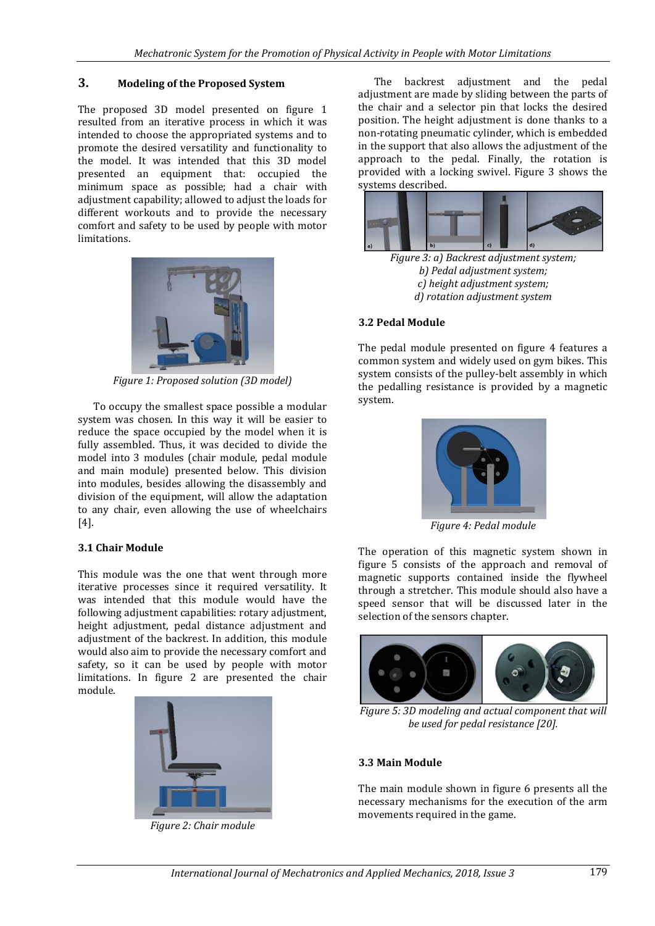## **3. Modeling of the Proposed System**

The proposed 3D model presented on figure 1 resulted from an iterative process in which it was intended to choose the appropriated systems and to promote the desired versatility and functionality to the model. It was intended that this 3D model presented an equipment that: occupied the minimum space as possible; had a chair with adjustment capability; allowed to adjust the loads for different workouts and to provide the necessary comfort and safety to be used by people with motor limitations.



*Figure 1: Proposed solution (3D model)*

To occupy the smallest space possible a modular system was chosen. In this way it will be easier to reduce the space occupied by the model when it is fully assembled. Thus, it was decided to divide the model into 3 modules (chair module, pedal module and main module) presented below. This division into modules, besides allowing the disassembly and division of the equipment, will allow the adaptation to any chair, even allowing the use of wheelchairs [4].

#### **3.1 Chair Module**

This module was the one that went through more iterative processes since it required versatility. It was intended that this module would have the following adjustment capabilities: rotary adjustment, height adjustment, pedal distance adjustment and adjustment of the backrest. In addition, this module would also aim to provide the necessary comfort and safety, so it can be used by people with motor limitations. In figure 2 are presented the chair module.



*Figure 2: Chair module*

The backrest adjustment and the pedal adjustment are made by sliding between the parts of the chair and a selector pin that locks the desired position. The height adjustment is done thanks to a non-rotating pneumatic cylinder, which is embedded in the support that also allows the adjustment of the approach to the pedal. Finally, the rotation is provided with a locking swivel. Figure 3 shows the systems described.



*Figure 3: a) Backrest adjustment system; b) Pedal adjustment system; c) height adjustment system; d) rotation adjustment system*

## **3.2 Pedal Module**

The pedal module presented on figure 4 features a common system and widely used on gym bikes. This system consists of the pulley-belt assembly in which the pedalling resistance is provided by a magnetic system.



*Figure 4: Pedal module*

The operation of this magnetic system shown in figure 5 consists of the approach and removal of magnetic supports contained inside the flywheel through a stretcher. This module should also have a speed sensor that will be discussed later in the selection of the sensors chapter.



*Figure 5: 3D modeling and actual component that will be used for pedal resistance [20].*

#### **3.3 Main Module**

The main module shown in figure 6 presents all the necessary mechanisms for the execution of the arm movements required in the game.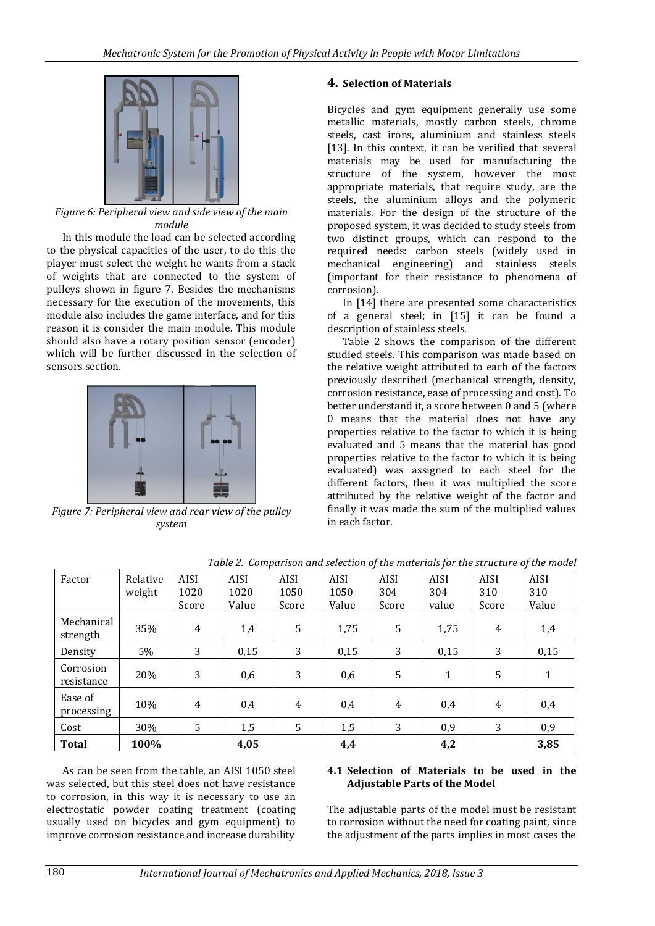

*Figure 6: Peripheral view and side view of the main module*

In this module the load can be selected according to the physical capacities of the user, to do this the player must select the weight he wants from a stack of weights that are connected to the system of pulleys shown in figure 7. Besides the mechanisms necessary for the execution of the movements, this module also includes the game interface, and for this reason it is consider the main module. This module should also have a rotary position sensor (encoder) which will be further discussed in the selection of sensors section.



*Figure 7: Peripheral view and rear view of the pulley system*

## **4. Selection of Materials**

Bicycles and gym equipment generally use some metallic materials, mostly carbon steels, chrome steels, cast irons, aluminium and stainless steels [13]. In this context, it can be verified that several materials may be used for manufacturing the structure of the system, however the most appropriate materials, that require study, are the steels, the aluminium alloys and the polymeric materials. For the design of the structure of the proposed system, it was decided to study steels from two distinct groups, which can respond to the required needs: carbon steels (widely used in mechanical engineering) and stainless steels (important for their resistance to phenomena of corrosion).

In [14] there are presented some characteristics of a general steel; in [15] it can be found a description of stainless steels.

Table 2 shows the comparison of the different studied steels. This comparison was made based on the relative weight attributed to each of the factors previously described (mechanical strength, density, corrosion resistance, ease of processing and cost). To better understand it, a score between 0 and 5 (where 0 means that the material does not have any properties relative to the factor to which it is being evaluated and 5 means that the material has good properties relative to the factor to which it is being evaluated) was assigned to each steel for the different factors, then it was multiplied the score attributed by the relative weight of the factor and finally it was made the sum of the multiplied values in each factor.

| Factor                  | Relative<br>weight | AISI<br>1020<br>Score | <b>AISI</b><br>1020<br>Value | AISI<br>1050<br>Score | <b>AISI</b><br>1050<br>Value | AISI<br>304<br>Score | <b>AISI</b><br>304<br>value | <b>AISI</b><br>310<br>Score | AISI<br>310<br>Value |
|-------------------------|--------------------|-----------------------|------------------------------|-----------------------|------------------------------|----------------------|-----------------------------|-----------------------------|----------------------|
| Mechanical<br>strength  | 35%                | 4                     | 1,4                          | 5                     | 1,75                         | 5                    | 1,75                        | 4                           | 1,4                  |
| Density                 | 5%                 | 3                     | 0,15                         | 3                     | 0,15                         | 3                    | 0,15                        | 3                           | 0,15                 |
| Corrosion<br>resistance | 20%                | 3                     | 0,6                          | 3                     | 0,6                          | 5                    | 1                           | 5                           | 1                    |
| Ease of<br>processing   | 10%                | 4                     | 0,4                          | $\overline{4}$        | 0,4                          | 4                    | 0,4                         | 4                           | 0,4                  |
| Cost                    | 30%                | 5                     | 1,5                          | 5                     | 1,5                          | 3                    | 0,9                         | 3                           | 0,9                  |
| <b>Total</b>            | 100%               |                       | 4,05                         |                       | 4,4                          |                      | 4,2                         |                             | 3,85                 |

*Table 2. Comparison and selection of the materials for the structure of the model*

As can be seen from the table, an AISI 1050 steel was selected, but this steel does not have resistance to corrosion, in this way it is necessary to use an electrostatic powder coating treatment (coating usually used on bicycles and gym equipment) to improve corrosion resistance and increase durability

#### **4.1 Selection of Materials to be used in the Adjustable Parts of the Model**

The adjustable parts of the model must be resistant to corrosion without the need for coating paint, since the adjustment of the parts implies in most cases the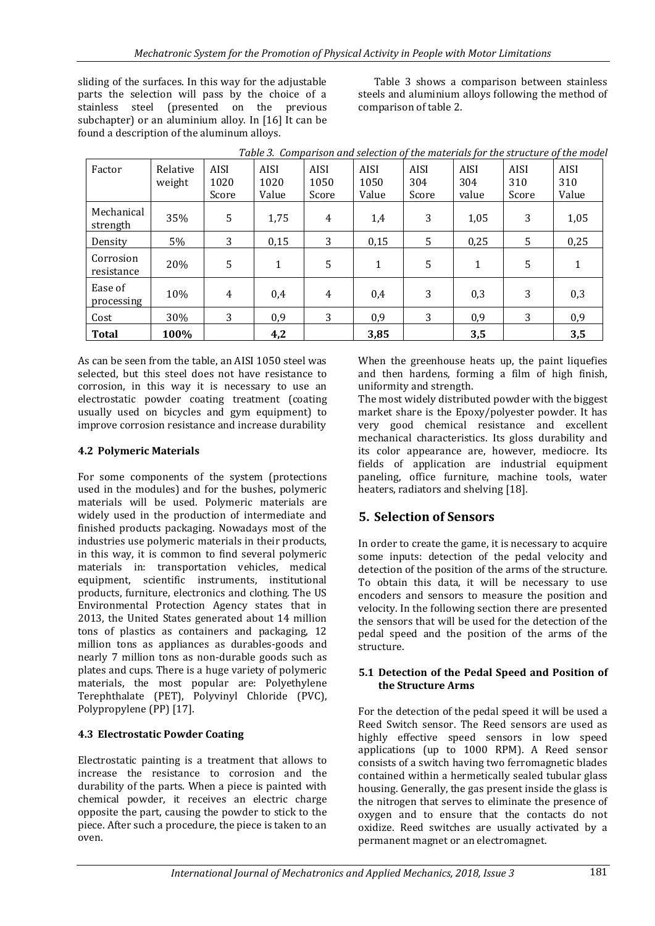sliding of the surfaces. In this way for the adjustable parts the selection will pass by the choice of a stainless steel (presented on the previous subchapter) or an aluminium alloy. In [16] It can be found a description of the aluminum alloys.

Table 3 shows a comparison between stainless steels and aluminium alloys following the method of comparison of table 2.

*Table 3. Comparison and selection of the materials for the structure of the model*

| Factor                  | Relative<br>weight | AISI<br>1020<br>Score | AISI<br>1020<br>Value | AISI<br>1050<br>Score | <b>AISI</b><br>1050<br>Value | <b>AISI</b><br>304<br>Score | <b>AISI</b><br>304<br>value | <b>AISI</b><br>310<br>Score | <b>AISI</b><br>310<br>Value |
|-------------------------|--------------------|-----------------------|-----------------------|-----------------------|------------------------------|-----------------------------|-----------------------------|-----------------------------|-----------------------------|
| Mechanical<br>strength  | 35%                | 5                     | 1,75                  | $\overline{4}$        | 1,4                          | 3                           | 1,05                        | 3                           | 1,05                        |
| Density                 | 5%                 | 3                     | 0,15                  | 3                     | 0,15                         | 5                           | 0,25                        | 5                           | 0,25                        |
| Corrosion<br>resistance | 20%                | 5                     | $\mathbf{1}$          | 5                     | $\mathbf{1}$                 | 5                           | 1                           | 5                           | $\mathbf{1}$                |
| Ease of<br>processing   | 10%                | 4                     | 0,4                   | $\overline{4}$        | 0,4                          | 3                           | 0,3                         | 3                           | 0,3                         |
| Cost                    | 30%                | 3                     | 0,9                   | 3                     | 0,9                          | 3                           | 0,9                         | 3                           | 0,9                         |
| <b>Total</b>            | 100%               |                       | 4,2                   |                       | 3,85                         |                             | 3,5                         |                             | 3,5                         |

As can be seen from the table, an AISI 1050 steel was selected, but this steel does not have resistance to corrosion, in this way it is necessary to use an electrostatic powder coating treatment (coating usually used on bicycles and gym equipment) to improve corrosion resistance and increase durability

## **4.2 Polymeric Materials**

For some components of the system (protections used in the modules) and for the bushes, polymeric materials will be used. Polymeric materials are widely used in the production of intermediate and finished products packaging. Nowadays most of the industries use polymeric materials in their products, in this way, it is common to find several polymeric materials in: transportation vehicles, medical equipment, scientific instruments, institutional products, furniture, electronics and clothing. The US Environmental Protection Agency states that in 2013, the United States generated about 14 million tons of plastics as containers and packaging, 12 million tons as appliances as durables-goods and nearly 7 million tons as non-durable goods such as plates and cups. There is a huge variety of polymeric materials, the most popular are: Polyethylene Terephthalate (PET), Polyvinyl Chloride (PVC), Polypropylene (PP) [17].

## **4.3 Electrostatic Powder Coating**

Electrostatic painting is a treatment that allows to increase the resistance to corrosion and the durability of the parts. When a piece is painted with chemical powder, it receives an electric charge opposite the part, causing the powder to stick to the piece. After such a procedure, the piece is taken to an oven.

When the greenhouse heats up, the paint liquefies and then hardens, forming a film of high finish, uniformity and strength.

The most widely distributed powder with the biggest market share is the Epoxy/polyester powder. It has very good chemical resistance and excellent mechanical characteristics. Its gloss durability and its color appearance are, however, mediocre. Its fields of application are industrial equipment paneling, office furniture, machine tools, water heaters, radiators and shelving [18].

# **5. Selection of Sensors**

In order to create the game, it is necessary to acquire some inputs: detection of the pedal velocity and detection of the position of the arms of the structure. To obtain this data, it will be necessary to use encoders and sensors to measure the position and velocity. In the following section there are presented the sensors that will be used for the detection of the pedal speed and the position of the arms of the structure.

## **5.1 Detection of the Pedal Speed and Position of the Structure Arms**

For the detection of the pedal speed it will be used a Reed Switch sensor. The Reed sensors are used as highly effective speed sensors in low speed applications (up to 1000 RPM). A Reed sensor consists of a switch having two ferromagnetic blades contained within a hermetically sealed tubular glass housing. Generally, the gas present inside the glass is the nitrogen that serves to eliminate the presence of oxygen and to ensure that the contacts do not oxidize. Reed switches are usually activated by a permanent magnet or an electromagnet.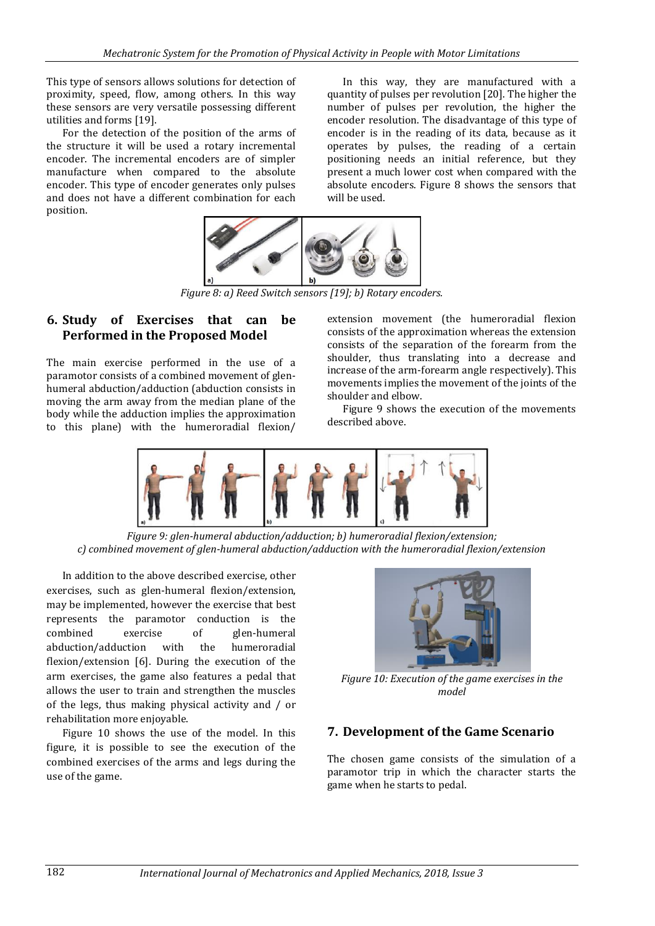This type of sensors allows solutions for detection of proximity, speed, flow, among others. In this way these sensors are very versatile possessing different utilities and forms [19].

For the detection of the position of the arms of the structure it will be used a rotary incremental encoder. The incremental encoders are of simpler manufacture when compared to the absolute encoder. This type of encoder generates only pulses and does not have a different combination for each position.

In this way, they are manufactured with a quantity of pulses per revolution [20]. The higher the number of pulses per revolution, the higher the encoder resolution. The disadvantage of this type of encoder is in the reading of its data, because as it operates by pulses, the reading of a certain positioning needs an initial reference, but they present a much lower cost when compared with the absolute encoders. Figure 8 shows the sensors that will be used.



*Figure 8: a) Reed Switch sensors [19]; b) Rotary encoders.*

# **6. Study of Exercises that can be Performed in the Proposed Model**

The main exercise performed in the use of a paramotor consists of a combined movement of glenhumeral abduction/adduction (abduction consists in moving the arm away from the median plane of the body while the adduction implies the approximation to this plane) with the humeroradial flexion/

extension movement (the humeroradial flexion consists of the approximation whereas the extension consists of the separation of the forearm from the shoulder, thus translating into a decrease and increase of the arm-forearm angle respectively). This movements implies the movement of the joints of the shoulder and elbow.

Figure 9 shows the execution of the movements described above.



*Figure 9: glen-humeral abduction/adduction; b) humeroradial flexion/extension; c) combined movement of glen-humeral abduction/adduction with the humeroradial flexion/extension*

In addition to the above described exercise, other exercises, such as glen-humeral flexion/extension, may be implemented, however the exercise that best represents the paramotor conduction is the combined exercise of glen-humeral abduction/adduction with the humeroradial flexion/extension [6]. During the execution of the arm exercises, the game also features a pedal that allows the user to train and strengthen the muscles of the legs, thus making physical activity and / or rehabilitation more enjoyable.

Figure 10 shows the use of the model. In this figure, it is possible to see the execution of the combined exercises of the arms and legs during the use of the game.



*Figure 10: Execution of the game exercises in the model*

# **7. Development of the Game Scenario**

The chosen game consists of the simulation of a paramotor trip in which the character starts the game when he starts to pedal.